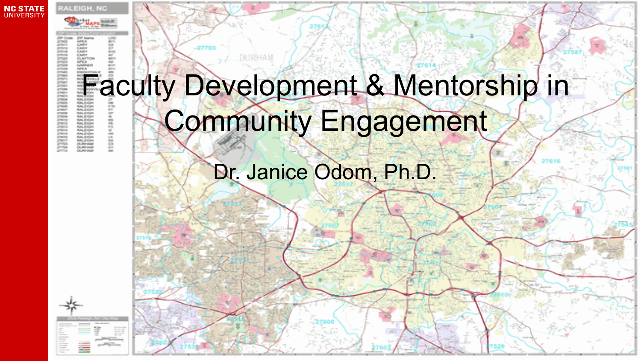



## Faculty Development & Mentorship in Community Engagement

### Dr. Janice Odom, Ph.D.

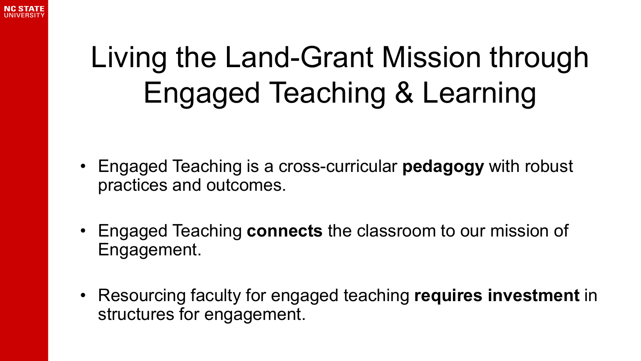

### Living the Land-Grant Mission through Engaged Teaching & Learning

- Engaged Teaching is a cross-curricular **pedagogy** with robust practices and outcomes.
- Engaged Teaching **connects** the classroom to our mission of Engagement.
- Resourcing faculty for engaged teaching **requires investment** in structures for engagement.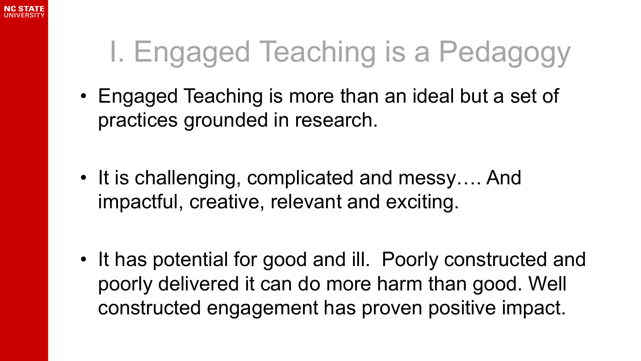

### I. Engaged Teaching is a Pedagogy

- Engaged Teaching is more than an ideal but a set of practices grounded in research.
- It is challenging, complicated and messy…. And impactful, creative, relevant and exciting.

• It has potential for good and ill. Poorly constructed and poorly delivered it can do more harm than good. Well constructed engagement has proven positive impact.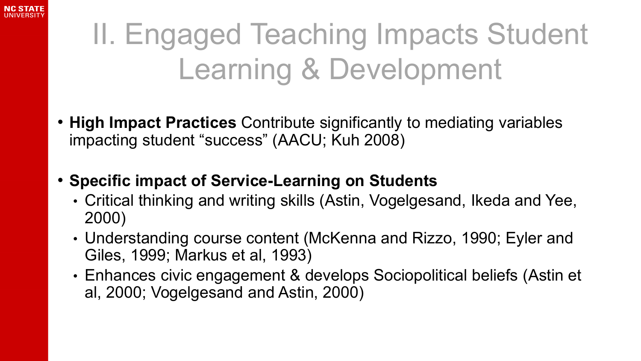

### II. Engaged Teaching Impacts Student Learning & Development

- **High Impact Practices** Contribute significantly to mediating variables impacting student "success" (AACU; Kuh 2008)
- **Specific impact of Service-Learning on Students**
	- Critical thinking and writing skills (Astin, Vogelgesand, Ikeda and Yee, 2000)
	- Understanding course content (McKenna and Rizzo, 1990; Eyler and Giles, 1999; Markus et al, 1993)
	- Enhances civic engagement & develops Sociopolitical beliefs (Astin et al, 2000; Vogelgesand and Astin, 2000)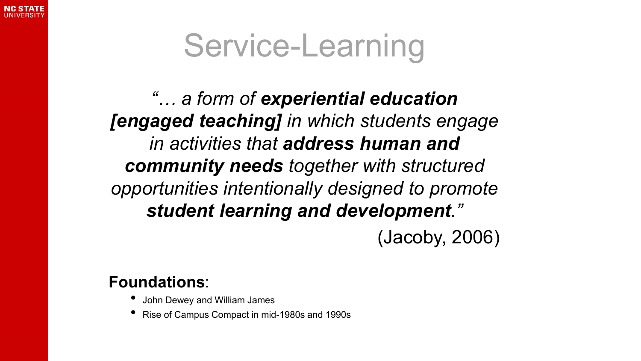

## Service-Learning

*"… a form of experiential education [engaged teaching] in which students engage in activities that address human and community needs together with structured opportunities intentionally designed to promote student learning and development."* 

(Jacoby, 2006)

#### **Foundations**:

- John Dewey and William James
- Rise of Campus Compact in mid-1980s and 1990s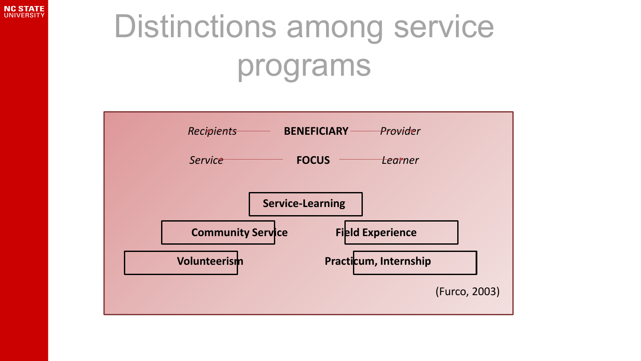

# Distinctions among service programs

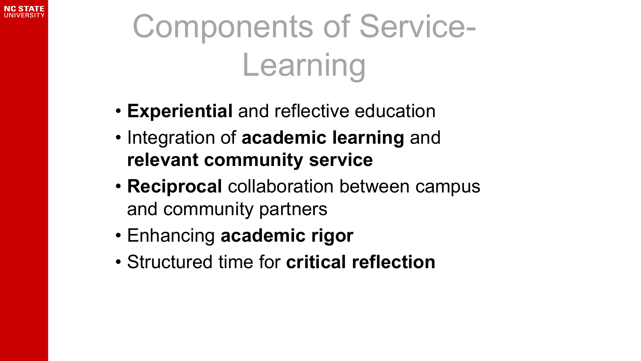

# Components of Service-Learning

- **Experiential** and reflective education
- Integration of **academic learning** and **relevant community service**
- **Reciprocal** collaboration between campus and community partners
- Enhancing **academic rigor**
- Structured time for **critical reflection**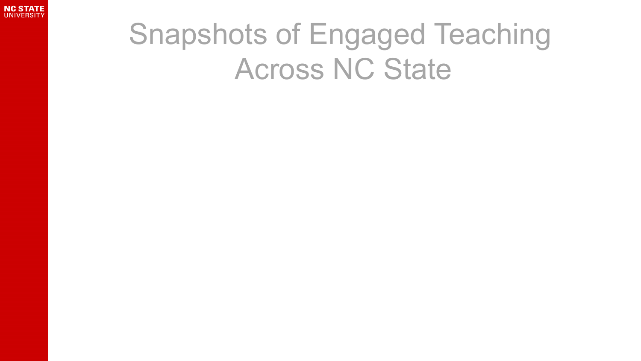

### Snapshots of Engaged Teaching Across NC State